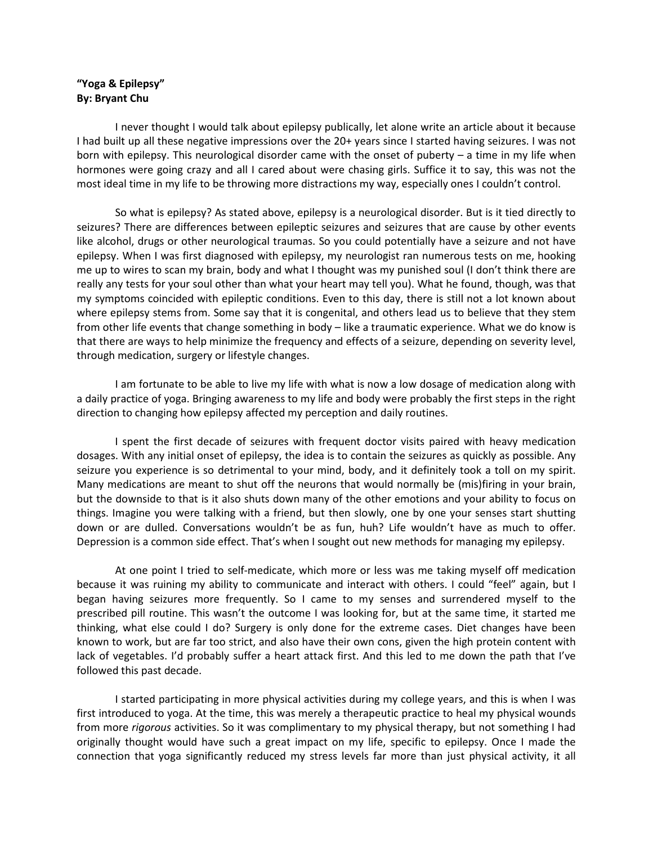## **"Yoga & Epilepsy" By: Bryant Chu**

I never thought I would talk about epilepsy publically, let alone write an article about it because I had built up all these negative impressions over the 20+ years since I started having seizures. I was not born with epilepsy. This neurological disorder came with the onset of puberty – a time in my life when hormones were going crazy and all I cared about were chasing girls. Suffice it to say, this was not the most ideal time in my life to be throwing more distractions my way, especially ones I couldn't control.

So what is epilepsy? As stated above, epilepsy is a neurological disorder. But is it tied directly to seizures? There are differences between epileptic seizures and seizures that are cause by other events like alcohol, drugs or other neurological traumas. So you could potentially have a seizure and not have epilepsy. When I was first diagnosed with epilepsy, my neurologist ran numerous tests on me, hooking me up to wires to scan my brain, body and what I thought was my punished soul (I don't think there are really any tests for your soul other than what your heart may tell you). What he found, though, was that my symptoms coincided with epileptic conditions. Even to this day, there is still not a lot known about where epilepsy stems from. Some say that it is congenital, and others lead us to believe that they stem from other life events that change something in body – like a traumatic experience. What we do know is that there are ways to help minimize the frequency and effects of a seizure, depending on severity level, through medication, surgery or lifestyle changes.

I am fortunate to be able to live my life with what is now a low dosage of medication along with a daily practice of yoga. Bringing awareness to my life and body were probably the first steps in the right direction to changing how epilepsy affected my perception and daily routines.

I spent the first decade of seizures with frequent doctor visits paired with heavy medication dosages. With any initial onset of epilepsy, the idea is to contain the seizures as quickly as possible. Any seizure you experience is so detrimental to your mind, body, and it definitely took a toll on my spirit. Many medications are meant to shut off the neurons that would normally be (mis)firing in your brain, but the downside to that is it also shuts down many of the other emotions and your ability to focus on things. Imagine you were talking with a friend, but then slowly, one by one your senses start shutting down or are dulled. Conversations wouldn't be as fun, huh? Life wouldn't have as much to offer. Depression is a common side effect. That's when I sought out new methods for managing my epilepsy.

At one point I tried to self-medicate, which more or less was me taking myself off medication because it was ruining my ability to communicate and interact with others. I could "feel" again, but I began having seizures more frequently. So I came to my senses and surrendered myself to the prescribed pill routine. This wasn't the outcome I was looking for, but at the same time, it started me thinking, what else could I do? Surgery is only done for the extreme cases. Diet changes have been known to work, but are far too strict, and also have their own cons, given the high protein content with lack of vegetables. I'd probably suffer a heart attack first. And this led to me down the path that I've followed this past decade.

I started participating in more physical activities during my college years, and this is when I was first introduced to yoga. At the time, this was merely a therapeutic practice to heal my physical wounds from more *rigorous* activities. So it was complimentary to my physical therapy, but not something I had originally thought would have such a great impact on my life, specific to epilepsy. Once I made the connection that yoga significantly reduced my stress levels far more than just physical activity, it all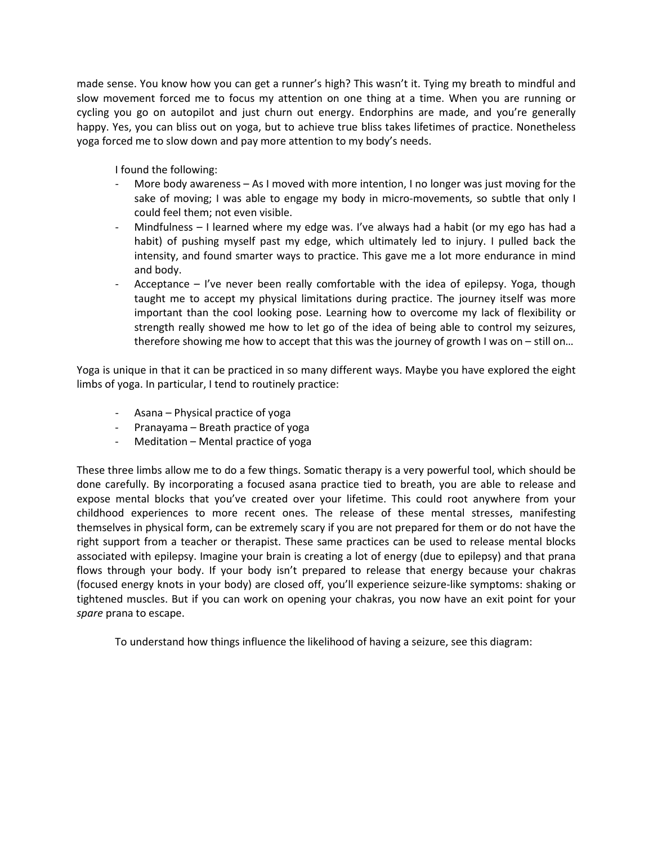made sense. You know how you can get a runner's high? This wasn't it. Tying my breath to mindful and slow movement forced me to focus my attention on one thing at a time. When you are running or cycling you go on autopilot and just churn out energy. Endorphins are made, and you're generally happy. Yes, you can bliss out on yoga, but to achieve true bliss takes lifetimes of practice. Nonetheless yoga forced me to slow down and pay more attention to my body's needs.

I found the following:

- More body awareness As I moved with more intention, I no longer was just moving for the sake of moving; I was able to engage my body in micro-movements, so subtle that only I could feel them; not even visible.
- Mindfulness  $-1$  learned where my edge was. I've always had a habit (or my ego has had a habit) of pushing myself past my edge, which ultimately led to injury. I pulled back the intensity, and found smarter ways to practice. This gave me a lot more endurance in mind and body.
- Acceptance I've never been really comfortable with the idea of epilepsy. Yoga, though taught me to accept my physical limitations during practice. The journey itself was more important than the cool looking pose. Learning how to overcome my lack of flexibility or strength really showed me how to let go of the idea of being able to control my seizures, therefore showing me how to accept that this was the journey of growth I was on – still on…

Yoga is unique in that it can be practiced in so many different ways. Maybe you have explored the eight limbs of yoga. In particular, I tend to routinely practice:

- Asana Physical practice of yoga
- Pranayama Breath practice of yoga
- Meditation Mental practice of yoga

These three limbs allow me to do a few things. Somatic therapy is a very powerful tool, which should be done carefully. By incorporating a focused asana practice tied to breath, you are able to release and expose mental blocks that you've created over your lifetime. This could root anywhere from your childhood experiences to more recent ones. The release of these mental stresses, manifesting themselves in physical form, can be extremely scary if you are not prepared for them or do not have the right support from a teacher or therapist. These same practices can be used to release mental blocks associated with epilepsy. Imagine your brain is creating a lot of energy (due to epilepsy) and that prana flows through your body. If your body isn't prepared to release that energy because your chakras (focused energy knots in your body) are closed off, you'll experience seizure-like symptoms: shaking or tightened muscles. But if you can work on opening your chakras, you now have an exit point for your *spare* prana to escape.

To understand how things influence the likelihood of having a seizure, see this diagram: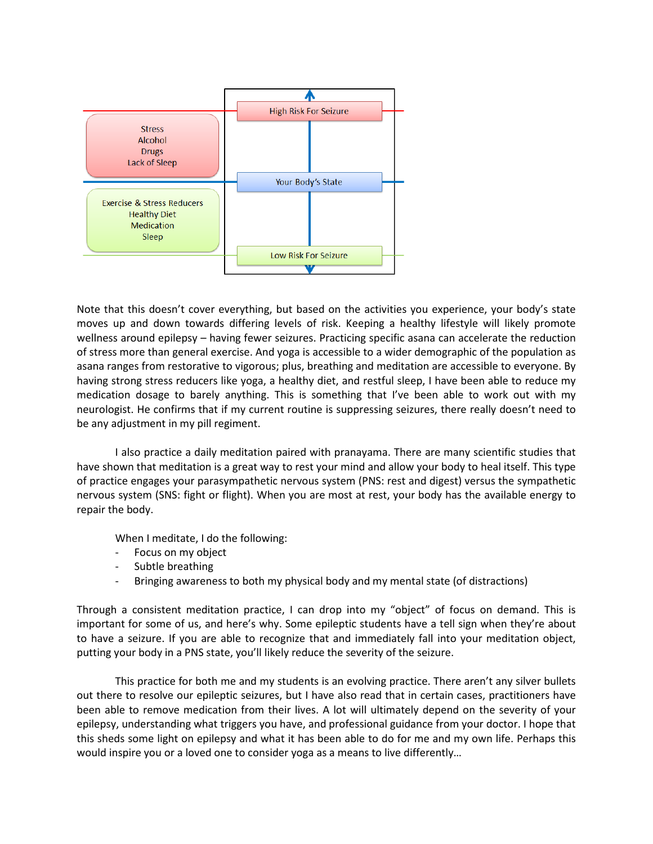

Note that this doesn't cover everything, but based on the activities you experience, your body's state moves up and down towards differing levels of risk. Keeping a healthy lifestyle will likely promote wellness around epilepsy – having fewer seizures. Practicing specific asana can accelerate the reduction of stress more than general exercise. And yoga is accessible to a wider demographic of the population as asana ranges from restorative to vigorous; plus, breathing and meditation are accessible to everyone. By having strong stress reducers like yoga, a healthy diet, and restful sleep, I have been able to reduce my medication dosage to barely anything. This is something that I've been able to work out with my neurologist. He confirms that if my current routine is suppressing seizures, there really doesn't need to be any adjustment in my pill regiment.

I also practice a daily meditation paired with pranayama. There are many scientific studies that have shown that meditation is a great way to rest your mind and allow your body to heal itself. This type of practice engages your parasympathetic nervous system (PNS: rest and digest) versus the sympathetic nervous system (SNS: fight or flight). When you are most at rest, your body has the available energy to repair the body.

When I meditate, I do the following:

- Focus on my object
- Subtle breathing
- Bringing awareness to both my physical body and my mental state (of distractions)

Through a consistent meditation practice, I can drop into my "object" of focus on demand. This is important for some of us, and here's why. Some epileptic students have a tell sign when they're about to have a seizure. If you are able to recognize that and immediately fall into your meditation object, putting your body in a PNS state, you'll likely reduce the severity of the seizure.

This practice for both me and my students is an evolving practice. There aren't any silver bullets out there to resolve our epileptic seizures, but I have also read that in certain cases, practitioners have been able to remove medication from their lives. A lot will ultimately depend on the severity of your epilepsy, understanding what triggers you have, and professional guidance from your doctor. I hope that this sheds some light on epilepsy and what it has been able to do for me and my own life. Perhaps this would inspire you or a loved one to consider yoga as a means to live differently…